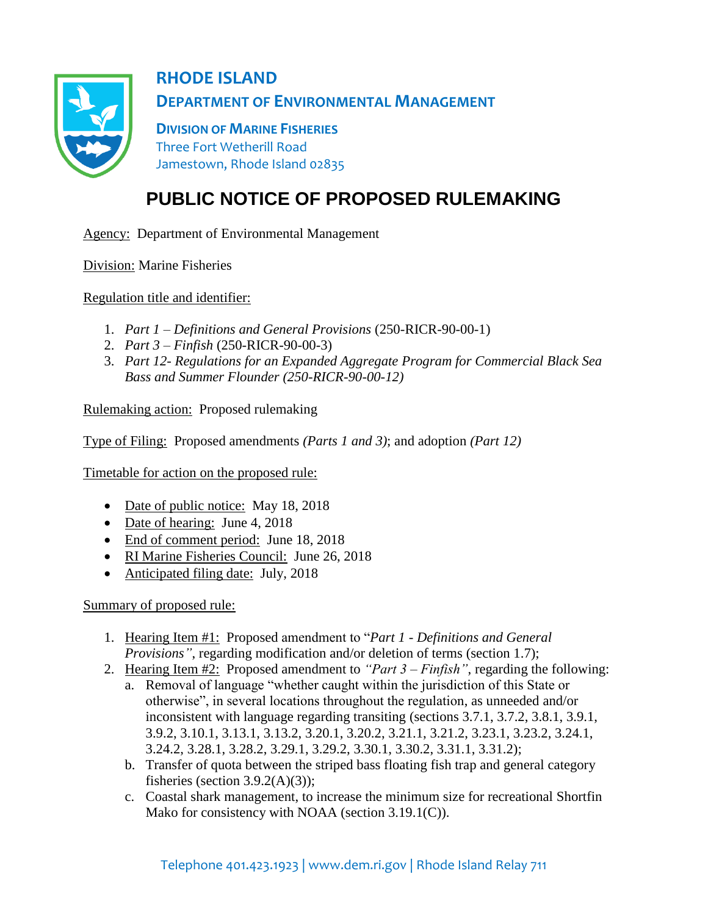

## **RHODE ISLAND DEPARTMENT OF ENVIRONMENTAL MANAGEMENT**

**DIVISION OF MARINE FISHERIES** Three Fort Wetherill Road Jamestown, Rhode Island 02835

## **PUBLIC NOTICE OF PROPOSED RULEMAKING**

Agency: Department of Environmental Management

Division: Marine Fisheries

Regulation title and identifier:

- 1. *Part 1 – Definitions and General Provisions* (250-RICR-90-00-1)
- 2. *Part 3 – Finfish* (250-RICR-90-00-3)
- 3. *Part 12- Regulations for an Expanded Aggregate Program for Commercial Black Sea Bass and Summer Flounder (250-RICR-90-00-12)*

Rulemaking action: Proposed rulemaking

Type of Filing: Proposed amendments *(Parts 1 and 3)*; and adoption *(Part 12)*

Timetable for action on the proposed rule:

- Date of public notice: May 18, 2018
- Date of hearing: June 4, 2018
- End of comment period: June 18, 2018
- RI Marine Fisheries Council: June 26, 2018
- Anticipated filing date: July, 2018

Summary of proposed rule:

- 1. Hearing Item #1: Proposed amendment to "*Part 1 - Definitions and General Provisions"*, regarding modification and/or deletion of terms (section 1.7);
- 2. Hearing Item #2: Proposed amendment to *"Part 3 – Finfish"*, regarding the following:
	- a. Removal of language "whether caught within the jurisdiction of this State or otherwise", in several locations throughout the regulation, as unneeded and/or inconsistent with language regarding transiting (sections 3.7.1, 3.7.2, 3.8.1, 3.9.1, 3.9.2, 3.10.1, 3.13.1, 3.13.2, 3.20.1, 3.20.2, 3.21.1, 3.21.2, 3.23.1, 3.23.2, 3.24.1, 3.24.2, 3.28.1, 3.28.2, 3.29.1, 3.29.2, 3.30.1, 3.30.2, 3.31.1, 3.31.2);
	- b. Transfer of quota between the striped bass floating fish trap and general category fisheries (section  $3.9.2(A)(3)$ );
	- c. Coastal shark management, to increase the minimum size for recreational Shortfin Mako for consistency with NOAA (section 3.19.1(C)).